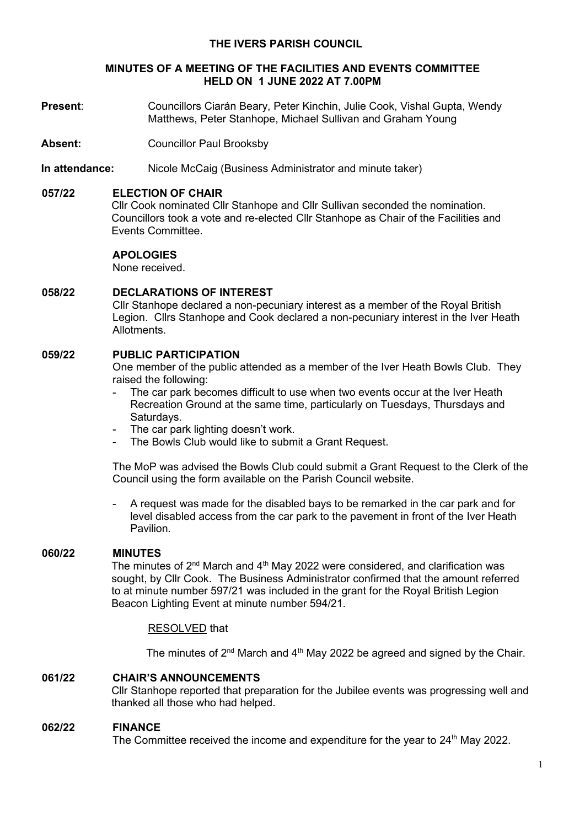### **THE IVERS PARISH COUNCIL**

#### **MINUTES OF A MEETING OF THE FACILITIES AND EVENTS COMMITTEE HELD ON 1 JUNE 2022 AT 7.00PM**

- **Present**: Councillors Ciarán Beary, Peter Kinchin, Julie Cook, Vishal Gupta, Wendy Matthews, Peter Stanhope, Michael Sullivan and Graham Young
- Absent: Councillor Paul Brooksby
- **In attendance:** Nicole McCaig (Business Administrator and minute taker)

### **057/22 ELECTION OF CHAIR**

Cllr Cook nominated Cllr Stanhope and Cllr Sullivan seconded the nomination. Councillors took a vote and re-elected Cllr Stanhope as Chair of the Facilities and Events Committee.

# **APOLOGIES**

None received.

### **058/22 DECLARATIONS OF INTEREST**

Cllr Stanhope declared a non-pecuniary interest as a member of the Royal British Legion. Cllrs Stanhope and Cook declared a non-pecuniary interest in the Iver Heath Allotments.

# **059/22 PUBLIC PARTICIPATION**

One member of the public attended as a member of the Iver Heath Bowls Club. They raised the following:

- The car park becomes difficult to use when two events occur at the Iver Heath Recreation Ground at the same time, particularly on Tuesdays, Thursdays and Saturdays.
- The car park lighting doesn't work.
- The Bowls Club would like to submit a Grant Request.

The MoP was advised the Bowls Club could submit a Grant Request to the Clerk of the Council using the form available on the Parish Council website.

- A request was made for the disabled bays to be remarked in the car park and for level disabled access from the car park to the pavement in front of the Iver Heath Pavilion.

# **060/22 MINUTES**

The minutes of  $2<sup>nd</sup>$  March and  $4<sup>th</sup>$  May 2022 were considered, and clarification was sought, by Cllr Cook. The Business Administrator confirmed that the amount referred to at minute number 597/21 was included in the grant for the Royal British Legion Beacon Lighting Event at minute number 594/21.

# RESOLVED that

The minutes of  $2<sup>nd</sup>$  March and  $4<sup>th</sup>$  May 2022 be agreed and signed by the Chair.

### **061/22 CHAIR'S ANNOUNCEMENTS**

Cllr Stanhope reported that preparation for the Jubilee events was progressing well and thanked all those who had helped.

#### **062/22 FINANCE**

The Committee received the income and expenditure for the year to  $24<sup>th</sup>$  May 2022.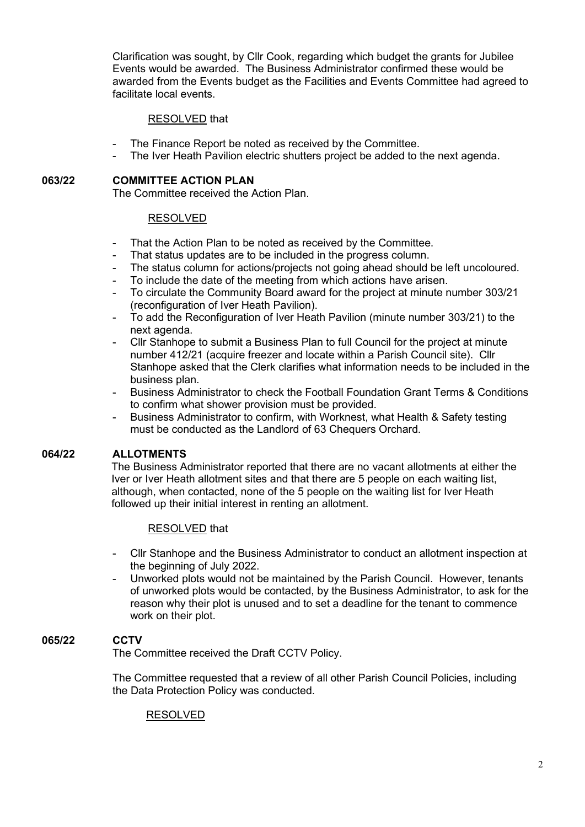Clarification was sought, by Cllr Cook, regarding which budget the grants for Jubilee Events would be awarded. The Business Administrator confirmed these would be awarded from the Events budget as the Facilities and Events Committee had agreed to facilitate local events.

### RESOLVED that

- The Finance Report be noted as received by the Committee.
- The Iver Heath Pavilion electric shutters project be added to the next agenda.

### **063/22 COMMITTEE ACTION PLAN**

The Committee received the Action Plan.

### RESOLVED

- That the Action Plan to be noted as received by the Committee.
- That status updates are to be included in the progress column.
- The status column for actions/projects not going ahead should be left uncoloured.
- To include the date of the meeting from which actions have arisen.
- To circulate the Community Board award for the project at minute number 303/21 (reconfiguration of Iver Heath Pavilion).
- To add the Reconfiguration of Iver Heath Pavilion (minute number 303/21) to the next agenda.
- Cllr Stanhope to submit a Business Plan to full Council for the project at minute number 412/21 (acquire freezer and locate within a Parish Council site). Cllr Stanhope asked that the Clerk clarifies what information needs to be included in the business plan.
- Business Administrator to check the Football Foundation Grant Terms & Conditions to confirm what shower provision must be provided.
- Business Administrator to confirm, with Worknest, what Health & Safety testing must be conducted as the Landlord of 63 Chequers Orchard.

#### **064/22 ALLOTMENTS**

The Business Administrator reported that there are no vacant allotments at either the Iver or Iver Heath allotment sites and that there are 5 people on each waiting list, although, when contacted, none of the 5 people on the waiting list for Iver Heath followed up their initial interest in renting an allotment.

# RESOLVED that

- Cllr Stanhope and the Business Administrator to conduct an allotment inspection at the beginning of July 2022.
- Unworked plots would not be maintained by the Parish Council. However, tenants of unworked plots would be contacted, by the Business Administrator, to ask for the reason why their plot is unused and to set a deadline for the tenant to commence work on their plot.

# **065/22 CCTV**

The Committee received the Draft CCTV Policy.

The Committee requested that a review of all other Parish Council Policies, including the Data Protection Policy was conducted.

#### RESOLVED